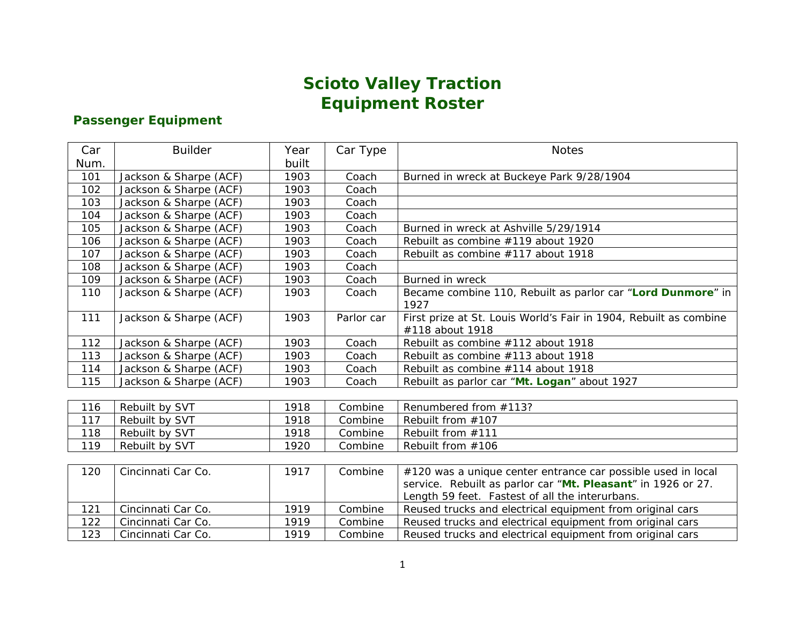## **Scioto Valley Traction Equipment Roster**

### **Passenger Equipment**

| Car  | <b>Builder</b>         | Year  | Car Type   | <b>Notes</b>                                                                         |
|------|------------------------|-------|------------|--------------------------------------------------------------------------------------|
| Num. |                        | built |            |                                                                                      |
| 101  | Jackson & Sharpe (ACF) | 1903  | Coach      | Burned in wreck at Buckeye Park 9/28/1904                                            |
| 102  | Jackson & Sharpe (ACF) | 1903  | Coach      |                                                                                      |
| 103  | Jackson & Sharpe (ACF) | 1903  | Coach      |                                                                                      |
| 104  | Jackson & Sharpe (ACF) | 1903  | Coach      |                                                                                      |
| 105  | Jackson & Sharpe (ACF) | 1903  | Coach      | Burned in wreck at Ashville 5/29/1914                                                |
| 106  | Jackson & Sharpe (ACF) | 1903  | Coach      | Rebuilt as combine #119 about 1920                                                   |
| 107  | Jackson & Sharpe (ACF) | 1903  | Coach      | Rebuilt as combine #117 about 1918                                                   |
| 108  | Jackson & Sharpe (ACF) | 1903  | Coach      |                                                                                      |
| 109  | Jackson & Sharpe (ACF) | 1903  | Coach      | Burned in wreck                                                                      |
| 110  | Jackson & Sharpe (ACF) | 1903  | Coach      | Became combine 110, Rebuilt as parlor car "Lord Dunmore" in<br>1927                  |
| 111  | Jackson & Sharpe (ACF) | 1903  | Parlor car | First prize at St. Louis World's Fair in 1904, Rebuilt as combine<br>#118 about 1918 |
| 112  | Jackson & Sharpe (ACF) | 1903  | Coach      | Rebuilt as combine #112 about 1918                                                   |
| 113  | Jackson & Sharpe (ACF) | 1903  | Coach      | Rebuilt as combine #113 about 1918                                                   |
| 114  | Jackson & Sharpe (ACF) | 1903  | Coach      | Rebuilt as combine #114 about 1918                                                   |
| 115  | Jackson & Sharpe (ACF) | 1903  | Coach      | Rebuilt as parlor car "Mt. Logan" about 1927                                         |
|      |                        |       |            |                                                                                      |
| 116  | Rebuilt by SVT         | 1918  | Combine    | Renumbered from #113?                                                                |
| 117  | Rebuilt by SVT         | 1918  | Combine    | Rebuilt from #107                                                                    |
| 118  | Rebuilt by SVT         | 1918  | Combine    | Rebuilt from #111                                                                    |
| 119  | Rebuilt by SVT         | 1920  | Combine    | Rebuilt from #106                                                                    |
|      |                        |       |            |                                                                                      |
| 120  | Cincinnati Car Co.     | 1917  | Combine    | #120 was a unique center entrance car possible used in local                         |
|      |                        |       |            | service. Rebuilt as parlor car "Mt. Pleasant" in 1926 or 27.                         |
|      |                        |       |            | Length 59 feet. Fastest of all the interurbans.                                      |
| 121  | Cincinnati Car Co.     | 1919  | Combine    | Reused trucks and electrical equipment from original cars                            |
| 122  | Cincinnati Car Co.     | 1919  | Combine    | Reused trucks and electrical equipment from original cars                            |

123 Cincinnati Car Co. 1919 Combine Reused trucks and electrical equipment from original cars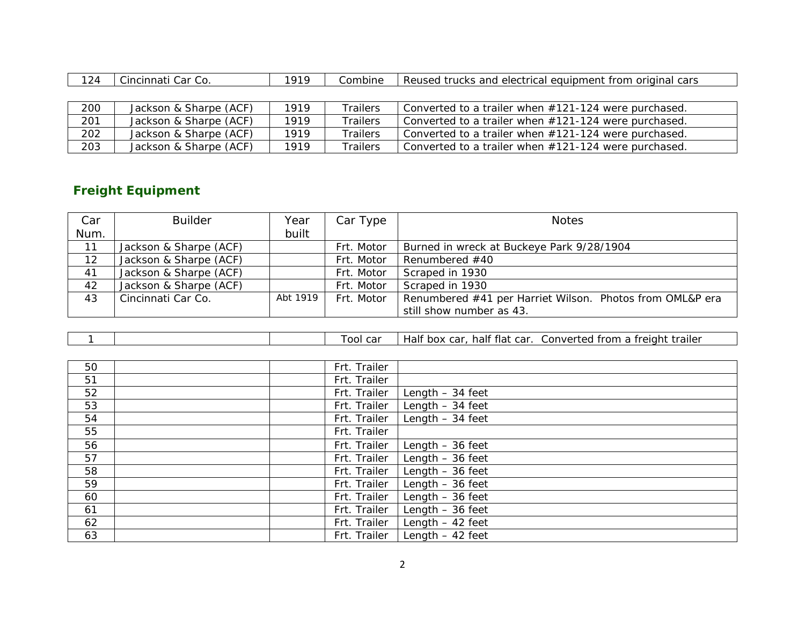| 24 | Car Co.<br>Cincinnati | 010 | Combine | s and electrical equipment from original cars<br>Reused trucks |
|----|-----------------------|-----|---------|----------------------------------------------------------------|
|    |                       |     |         |                                                                |

| 200 | Jackson & Sharpe (ACF) | 1919 | Trailers        | Converted to a trailer when #121-124 were purchased.    |
|-----|------------------------|------|-----------------|---------------------------------------------------------|
| 201 | Jackson & Sharpe (ACF) | 1919 | <b>Trailers</b> | Converted to a trailer when $#121-124$ were purchased.  |
| 202 | Jackson & Sharpe (ACF) | 1919 | Trailers        | Converted to a trailer when $\#121-124$ were purchased. |
| 203 | Jackson & Sharpe (ACF) | 1919 | Trailers        | Converted to a trailer when $\#121-124$ were purchased. |

### **Freight Equipment**

| Car  | <b>Builder</b>         | Year     | Car Type   | <b>Notes</b>                                             |
|------|------------------------|----------|------------|----------------------------------------------------------|
| Num. |                        | built    |            |                                                          |
| 11   | Jackson & Sharpe (ACF) |          | Frt. Motor | Burned in wreck at Buckeye Park 9/28/1904                |
| 12   | Jackson & Sharpe (ACF) |          | Frt. Motor | Renumbered #40                                           |
| 41   | Jackson & Sharpe (ACF) |          | Frt. Motor | Scraped in 1930                                          |
| 42   | Jackson & Sharpe (ACF) |          | Frt. Motor | Scraped in 1930                                          |
| 43   | Cincinnati Car Co.     | Abt 1919 | Frt. Motor | Renumbered #41 per Harriet Wilson. Photos from OML&P era |
|      |                        |          |            | still show number as 43.                                 |

|  |  |  |  | car<br>00L | half flat car.<br>Half box car. | Converted from a freight<br>trailer |
|--|--|--|--|------------|---------------------------------|-------------------------------------|
|--|--|--|--|------------|---------------------------------|-------------------------------------|

| 50 | Frt. Trailer |                   |
|----|--------------|-------------------|
| 51 | Frt. Trailer |                   |
| 52 | Frt. Trailer | Length $-34$ feet |
| 53 | Frt. Trailer | Length $-34$ feet |
| 54 | Frt. Trailer | Length $-34$ feet |
| 55 | Frt. Trailer |                   |
| 56 | Frt. Trailer | Length $-36$ feet |
| 57 | Frt. Trailer | Length $-36$ feet |
| 58 | Frt. Trailer | Length $-36$ feet |
| 59 | Frt. Trailer | Length $-36$ feet |
| 60 | Frt. Trailer | Length $-36$ feet |
| 61 | Frt. Trailer | Length $-36$ feet |
| 62 | Frt. Trailer | Length $-42$ feet |
| 63 | Frt. Trailer | Length $-42$ feet |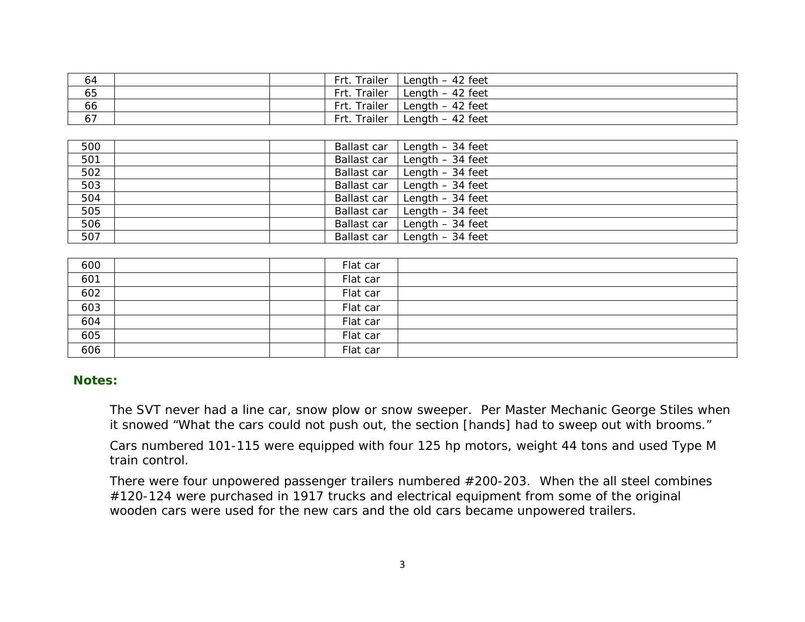| 64 |  | Trailer<br>- Frt. | Length $-42$ feet |
|----|--|-------------------|-------------------|
| 65 |  | Frt. Trailer      | Length $-42$ feet |
| 66 |  | Frt. Trailer      | Length $-42$ feet |
| 67 |  | Frt. Trailer      | Length $-42$ feet |

| 500 | Ballast car | Length - 34 feet  |
|-----|-------------|-------------------|
| 501 | Ballast car | Length $-34$ feet |
| 502 | Ballast car | Length $-34$ feet |
| 503 | Ballast car | Length $-34$ feet |
| 504 | Ballast car | Length $-34$ feet |
| 505 | Ballast car | Length $-34$ feet |
| 506 | Ballast car | Length $-34$ feet |
| 507 | Ballast car | Length $-34$ feet |

| 600 | Flat car |  |
|-----|----------|--|
| 601 | Flat car |  |
| 602 | Flat car |  |
| 603 | Flat car |  |
| 604 | Flat car |  |
| 605 | Flat car |  |
| 606 | Flat car |  |

### **Notes:**

The SVT never had a line car, snow plow or snow sweeper. Per Master Mechanic George Stiles when it snowed "What the cars could not push out, the section [hands] had to sweep out with brooms."

Cars numbered 101-115 were equipped with four 125 hp motors, weight 44 tons and used Type M train control.

There were four unpowered passenger trailers numbered #200-203. When the all steel combines #120-124 were purchased in 1917 trucks and electrical equipment from some of the original wooden cars were used for the new cars and the old cars became unpowered trailers.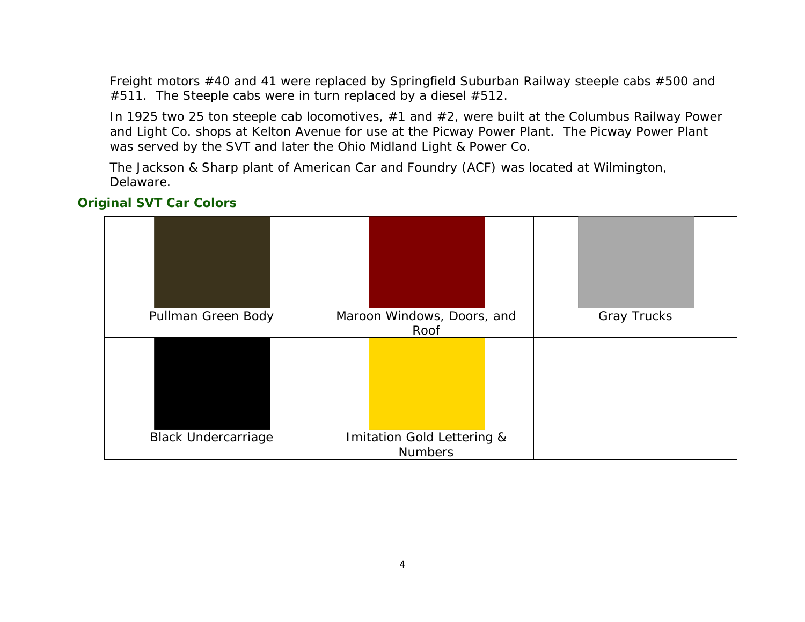Freight motors #40 and 41 were replaced by Springfield Suburban Railway steeple cabs #500 and  $#511$ . The Steeple cabs were in turn replaced by a diesel  $#512$ .

In 1925 two 25 ton steeple cab locomotives, #1 and #2, were built at the Columbus Railway Power and Light Co. shops at Kelton Avenue for use at the Picway Power Plant. The Picway Power Plant was served by the SVT and later the Ohio Midland Light & Power Co.

The Jackson & Sharp plant of American Car and Foundry (ACF) was located at Wilmington, Delaware.

# Pullman Green Body | Maroon Windows, Doors, and Roof Gray Trucks Black Undercarriage | Imitation Gold Lettering & Numbers

### **Original SVT Car Colors**